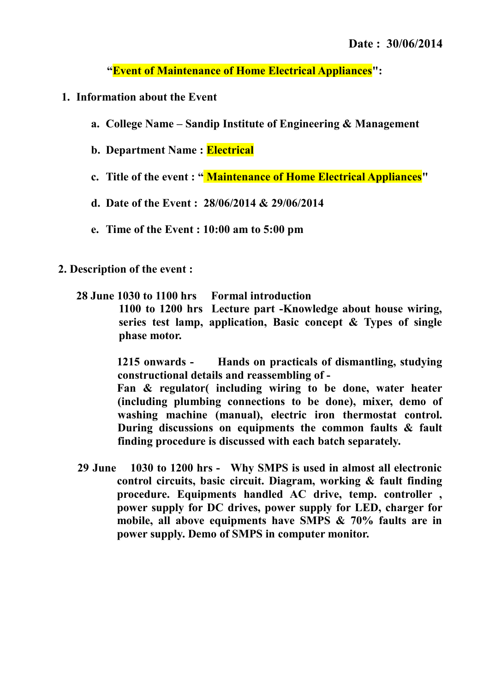**"Event of Maintenance of Home Electrical Appliances":**

- **1. Information about the Event**
	- **a. College Name Sandip Institute of Engineering & Management**
	- **b. Department Name : Electrical**
	- **c. Title of the event : " Maintenance of Home Electrical Appliances"**
	- **d. Date of the Event : 28/06/2014 & 29/06/2014**
	- **e. Time of the Event : 10:00 am to 5:00 pm**
- **2. Description of the event :** 
	- **28 June 1030 to 1100 hrs Formal introduction 1100 to 1200 hrs Lecture part -Knowledge about house wiring, series test lamp, application, Basic concept & Types of single phase motor.**

**1215 onwards - Hands on practicals of dismantling, studying constructional details and reassembling of -**

**Fan & regulator( including wiring to be done, water heater (including plumbing connections to be done), mixer, demo of washing machine (manual), electric iron thermostat control. During discussions on equipments the common faults & fault finding procedure is discussed with each batch separately.**

**29 June 1030 to 1200 hrs - Why SMPS is used in almost all electronic control circuits, basic circuit. Diagram, working & fault finding procedure. Equipments handled AC drive, temp. controller , power supply for DC drives, power supply for LED, charger for mobile, all above equipments have SMPS & 70% faults are in power supply. Demo of SMPS in computer monitor.**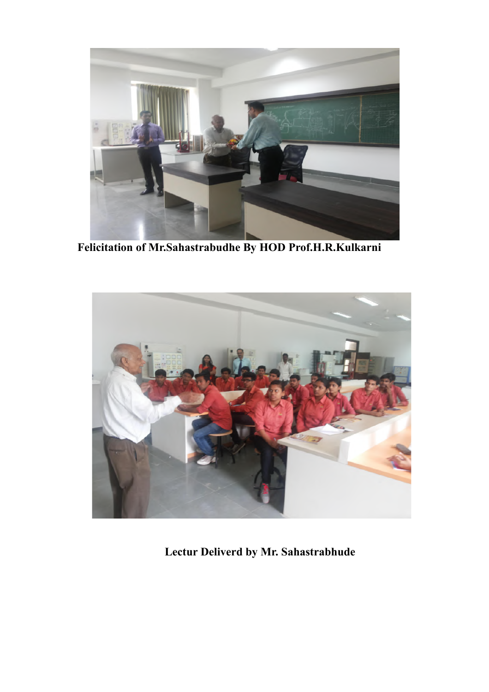

**Felicitation of Mr.Sahastrabudhe By HOD Prof.H.R.Kulkarni**



**Lectur Deliverd by Mr. Sahastrabhude**